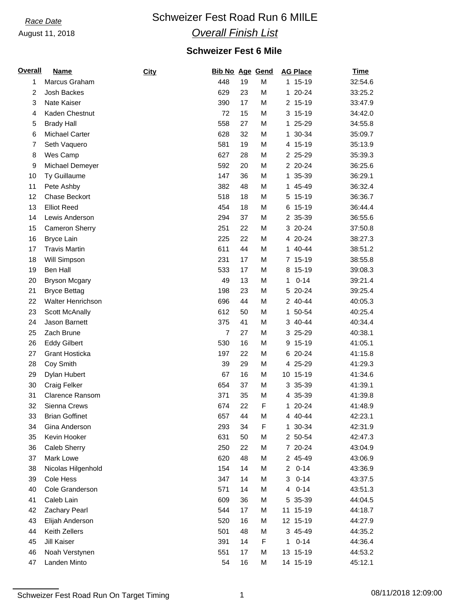# **Race Date Schweizer Fest Road Run 6 MIILE** *Overall Finish List*

### **Schweizer Fest 6 Mile**

| <b>Overall</b> | <b>Name</b>            | City | <b>Bib No Age Gend</b> |    |   | <b>AG Place</b> | <b>Time</b> |
|----------------|------------------------|------|------------------------|----|---|-----------------|-------------|
| 1              | Marcus Graham          |      | 448                    | 19 | M | 1 15-19         | 32:54.6     |
| 2              | Josh Backes            |      | 629                    | 23 | M | 1 20-24         | 33:25.2     |
| 3              | Nate Kaiser            |      | 390                    | 17 | M | 2 15-19         | 33:47.9     |
| 4              | Kaden Chestnut         |      | 72                     | 15 | M | 3 15-19         | 34:42.0     |
| 5              | <b>Brady Hall</b>      |      | 558                    | 27 | M | 1 25-29         | 34:55.8     |
| 6              | <b>Michael Carter</b>  |      | 628                    | 32 | M | 1 30-34         | 35:09.7     |
| 7              | Seth Vaquero           |      | 581                    | 19 | M | 4 15-19         | 35:13.9     |
| 8              | Wes Camp               |      | 627                    | 28 | M | 2 25-29         | 35:39.3     |
| 9              | Michael Demeyer        |      | 592                    | 20 | M | 2 20-24         | 36:25.6     |
| 10             | Ty Guillaume           |      | 147                    | 36 | M | 1 35-39         | 36:29.1     |
| 11             | Pete Ashby             |      | 382                    | 48 | M | 1 45-49         | 36:32.4     |
| 12             | Chase Beckort          |      | 518                    | 18 | M | 5 15-19         | 36:36.7     |
| 13             | <b>Elliot Reed</b>     |      | 454                    | 18 | M | 6 15-19         | 36:44.4     |
| 14             | Lewis Anderson         |      | 294                    | 37 | M | 2 35-39         | 36:55.6     |
| 15             | <b>Cameron Sherry</b>  |      | 251                    | 22 | M | 3 20-24         | 37:50.8     |
| 16             | <b>Bryce Lain</b>      |      | 225                    | 22 | M | 4 20-24         | 38:27.3     |
| 17             | <b>Travis Martin</b>   |      | 611                    | 44 | M | 1 40-44         | 38:51.2     |
| 18             | Will Simpson           |      | 231                    | 17 | M | 7 15-19         | 38:55.8     |
| 19             | Ben Hall               |      | 533                    | 17 | M | 8 15-19         | 39:08.3     |
| 20             | <b>Bryson Mcgary</b>   |      | 49                     | 13 | M | $0 - 14$<br>1   | 39:21.4     |
| 21             | <b>Bryce Bettag</b>    |      | 198                    | 23 | M | 5 20-24         | 39:25.4     |
| 22             | Walter Henrichson      |      | 696                    | 44 | M | 2 40-44         | 40:05.3     |
| 23             | Scott McAnally         |      | 612                    | 50 | M | 1 50-54         | 40:25.4     |
| 24             | Jason Barnett          |      | 375                    | 41 | M | 3 40-44         | 40:34.4     |
| 25             | Zach Brune             |      | $\overline{7}$         | 27 | M | 3 25-29         | 40:38.1     |
| 26             | <b>Eddy Gilbert</b>    |      | 530                    | 16 | M | 9 15-19         | 41:05.1     |
| 27             | <b>Grant Hosticka</b>  |      | 197                    | 22 | M | 6 20-24         | 41:15.8     |
| 28             | Coy Smith              |      | 39                     | 29 | M | 4 25-29         | 41:29.3     |
| 29             | Dylan Hubert           |      | 67                     | 16 | M | 10 15-19        | 41:34.6     |
| 30             | Craig Felker           |      | 654                    | 37 | M | 3 35-39         | 41:39.1     |
| 31             | <b>Clarence Ransom</b> |      | 371                    | 35 | M | 4 35-39         | 41:39.8     |
| 32             | Sienna Crews           |      | 674                    | 22 | F | 1 20-24         | 41:48.9     |
| 33             | <b>Brian Goffinet</b>  |      | 657                    | 44 | M | 4 40-44         | 42:23.1     |
| 34             | Gina Anderson          |      | 293                    | 34 | F | 1 30-34         | 42:31.9     |
| 35             | Kevin Hooker           |      | 631                    | 50 | M | 2 50-54         | 42:47.3     |
| 36             | Caleb Sherry           |      | 250                    | 22 | M | 7 20-24         | 43:04.9     |
| 37             | Mark Lowe              |      | 620                    | 48 | М | 2 45-49         | 43:06.9     |
| 38             | Nicolas Hilgenhold     |      | 154                    | 14 | M | $0 - 14$<br>2   | 43:36.9     |
| 39             | Cole Hess              |      | 347                    | 14 | М | $0 - 14$<br>3   | 43:37.5     |
| 40             | Cole Granderson        |      | 571                    | 14 | M | $0 - 14$<br>4   | 43:51.3     |
| 41             | Caleb Lain             |      | 609                    | 36 | М | 5 35-39         | 44:04.5     |
| 42             | Zachary Pearl          |      | 544                    | 17 | М | 11 15-19        | 44:18.7     |
| 43             | Elijah Anderson        |      | 520                    | 16 | М | 12 15-19        | 44:27.9     |
| 44             | Keith Zellers          |      | 501                    | 48 | M | 3 45-49         | 44:35.2     |
| 45             | Jill Kaiser            |      | 391                    | 14 | F | $0 - 14$<br>1   | 44:36.4     |
| 46             | Noah Verstynen         |      | 551                    | 17 | М | 13 15-19        | 44:53.2     |
| 47             | Landen Minto           |      | 54                     | 16 | M | 14 15-19        | 45:12.1     |
|                |                        |      |                        |    |   |                 |             |

Schweizer Fest Road Run On Target Timing 1 08/11/2018 12:09:00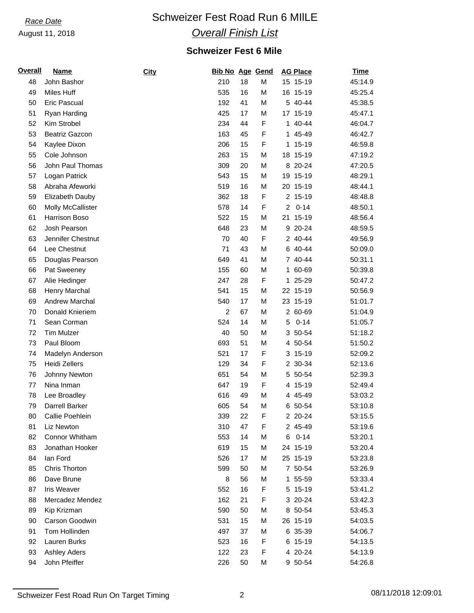# **Race Date Schweizer Fest Road Run 6 MIILE**

## *Overall Finish List*

## **Schweizer Fest 6 Mile**

| <b>Overall</b> | <b>Name</b>              | City | Bib No Age Gend |    |             |                | <b>AG Place</b> | <u>Time</u> |
|----------------|--------------------------|------|-----------------|----|-------------|----------------|-----------------|-------------|
| 48             | John Bashor              |      | 210             | 18 | M           |                | 15 15-19        | 45:14.9     |
| 49             | Miles Huff               |      | 535             | 16 | M           |                | 16 15-19        | 45:25.4     |
| 50             | <b>Eric Pascual</b>      |      | 192             | 41 | M           |                | 5 40-44         | 45:38.5     |
| 51             | Ryan Harding             |      | 425             | 17 | M           |                | 17 15-19        | 45:47.1     |
| 52             | Kim Strobel              |      | 234             | 44 | F           |                | 1 40-44         | 46:04.7     |
| 53             | <b>Beatriz Gazcon</b>    |      | 163             | 45 | F           |                | 1 45-49         | 46:42.7     |
| 54             | Kaylee Dixon             |      | 206             | 15 | F           | 1.             | $15 - 19$       | 46:59.8     |
| 55             | Cole Johnson             |      | 263             | 15 | M           |                | 18 15-19        | 47:19.2     |
| 56             | John Paul Thomas         |      | 309             | 20 | M           |                | 8 20-24         | 47:20.5     |
| 57             | Logan Patrick            |      | 543             | 15 | M           |                | 19 15-19        | 48:29.1     |
| 58             | Abraha Afeworki          |      | 519             | 16 | M           |                | 20 15-19        | 48:44.1     |
| 59             | Elizabeth Dauby          |      | 362             | 18 | F           |                | 2 15-19         | 48:48.8     |
| 60             | <b>Molly McCallister</b> |      | 578             | 14 | F           | $\overline{a}$ | $0 - 14$        | 48:50.1     |
| 61             | Harrison Boso            |      | 522             | 15 | M           |                | 21 15-19        | 48:56.4     |
| 62             | Josh Pearson             |      | 648             | 23 | M           | 9              | $20 - 24$       | 48:59.5     |
| 63             | Jennifer Chestnut        |      | 70              | 40 | F           |                | 2 40-44         | 49:56.9     |
| 64             | Lee Chestnut             |      | 71              | 43 | M           |                | 6 40-44         | 50:09.0     |
| 65             | Douglas Pearson          |      | 649             | 41 | M           |                | 7 40-44         | 50:31.1     |
| 66             | Pat Sweeney              |      | 155             | 60 | М           |                | 1 60-69         | 50:39.8     |
| 67             | Alie Hedinger            |      | 247             | 28 | F           | 1              | 25-29           | 50:47.2     |
| 68             | Henry Marchal            |      | 541             | 15 | M           |                | 22 15-19        | 50:56.9     |
| 69             | <b>Andrew Marchal</b>    |      | 540             | 17 | M           |                | 23 15-19        | 51:01.7     |
| 70             | Donald Knieriem          |      | $\overline{c}$  | 67 | M           |                | 2 60-69         | 51:04.9     |
| 71             | Sean Corman              |      | 524             | 14 | M           | 5              | $0 - 14$        | 51:05.7     |
| 72             | <b>Tim Mulzer</b>        |      | 40              | 50 | M           | 3              | 50-54           | 51:18.2     |
| 73             | Paul Bloom               |      | 693             | 51 | M           |                | 4 50-54         | 51:50.2     |
| 74             | Madelyn Anderson         |      | 521             | 17 | F           |                | 3 15-19         | 52:09.2     |
| 75             | <b>Heidi Zellers</b>     |      | 129             | 34 | F           |                | 2 30-34         | 52:13.6     |
| 76             | Johnny Newton            |      | 651             | 54 | М           | 5.             | 50-54           | 52:39.3     |
| 77             | Nina Inman               |      | 647             | 19 | F           | 4              | 15-19           | 52:49.4     |
| 78             | Lee Broadley             |      | 616             | 49 | M           |                | 4 45-49         | 53:03.2     |
| 79             | Darrell Barker           |      | 605             | 54 | M           |                | 6 50-54         | 53:10.8     |
| 80             | Callie Poehlein          |      | 339             | 22 | $\mathsf F$ |                | 2 20-24         | 53:15.5     |
| 81             | Liz Newton               |      | 310             | 47 | F           |                | 2 45-49         | 53:19.6     |
| 82             | Connor Whitham           |      | 553             | 14 | M           | 6              | $0 - 14$        | 53:20.1     |
| 83             | Jonathan Hooker          |      | 619             | 15 | M           |                | 24 15-19        | 53:20.4     |
| 84             | lan Ford                 |      | 526             | 17 | M           |                | 25 15-19        | 53:23.8     |
| 85             | Chris Thorton            |      | 599             | 50 | М           |                | 7 50-54         | 53:26.9     |
| 86             | Dave Brune               |      | 8               | 56 | М           |                | 1 55-59         | 53:33.4     |
| 87             | <b>Iris Weaver</b>       |      | 552             | 16 | F           |                | 5 15-19         | 53:41.2     |
| 88             | Mercadez Mendez          |      | 162             | 21 | F           |                | 3 20-24         | 53:42.3     |
| 89             | Kip Krizman              |      | 590             | 50 | М           |                | 8 50-54         | 53:45.3     |
| 90             | Carson Goodwin           |      | 531             | 15 | М           |                | 26 15-19        | 54:03.5     |
| 91             | Tom Hollinden            |      | 497             | 37 | M           |                | 6 35-39         | 54:06.7     |
| 92             | Lauren Burks             |      | 523             | 16 | F           |                | 6 15-19         | 54:13.5     |
| 93             | <b>Ashley Aders</b>      |      | 122             | 23 | F           |                | 4 20-24         | 54:13.9     |
| 94             | John Pfeiffer            |      | 226             | 50 | М           |                | 9 50-54         | 54:26.8     |

Schweizer Fest Road Run On Target Timing 2 2 08/11/2018 12:09:01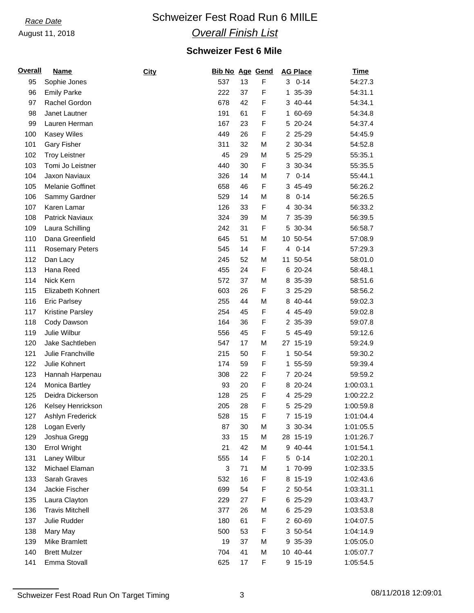# **Race Date Schweizer Fest Road Run 6 MIILE**

## *Overall Finish List*

## **Schweizer Fest 6 Mile**

| <b>Overall</b> | <b>Name</b>             | <b>City</b> | <b>Bib No Age Gend</b> |    |   | <b>AG Place</b>            | <b>Time</b> |
|----------------|-------------------------|-------------|------------------------|----|---|----------------------------|-------------|
| 95             | Sophie Jones            |             | 537                    | 13 | F | $30 - 14$                  | 54:27.3     |
| 96             | <b>Emily Parke</b>      |             | 222                    | 37 | F | 1 35-39                    | 54:31.1     |
| 97             | Rachel Gordon           |             | 678                    | 42 | F | 3 40-44                    | 54:34.1     |
| 98             | Janet Lautner           |             | 191                    | 61 | F | 1 60-69                    | 54:34.8     |
| 99             | Lauren Herman           |             | 167                    | 23 | F | 5 20-24                    | 54:37.4     |
| 100            | <b>Kasey Wiles</b>      |             | 449                    | 26 | F | 2 25-29                    | 54:45.9     |
| 101            | <b>Gary Fisher</b>      |             | 311                    | 32 | M | 2 30-34                    | 54:52.8     |
| 102            | <b>Troy Leistner</b>    |             | 45                     | 29 | M | 5 25-29                    | 55:35.1     |
| 103            | Tomi Jo Leistner        |             | 440                    | 30 | F | 3 30-34                    | 55:35.5     |
| 104            | Jaxon Naviaux           |             | 326                    | 14 | M | $0 - 14$<br>$\overline{7}$ | 55:44.1     |
| 105            | Melanie Goffinet        |             | 658                    | 46 | F | 3 45-49                    | 56:26.2     |
| 106            | Sammy Gardner           |             | 529                    | 14 | M | $0 - 14$<br>8              | 56:26.5     |
| 107            | Karen Lamar             |             | 126                    | 33 | F | 4 30-34                    | 56:33.2     |
| 108            | Patrick Naviaux         |             | 324                    | 39 | M | 7 35-39                    | 56:39.5     |
| 109            | Laura Schilling         |             | 242                    | 31 | F | 5 30-34                    | 56:58.7     |
| 110            | Dana Greenfield         |             | 645                    | 51 | M | 10 50-54                   | 57:08.9     |
| 111            | <b>Rosemary Peters</b>  |             | 545                    | 14 | F | $0 - 14$<br>4              | 57:29.3     |
| 112            | Dan Lacy                |             | 245                    | 52 | M | 11 50-54                   | 58:01.0     |
| 113            | Hana Reed               |             | 455                    | 24 | F | 6 20-24                    | 58:48.1     |
| 114            | Nick Kern               |             | 572                    | 37 | M | 8 35-39                    | 58:51.6     |
| 115            | Elizabeth Kohnert       |             | 603                    | 26 | F | 3 25-29                    | 58:56.2     |
| 116            | <b>Eric Parlsey</b>     |             | 255                    | 44 | M | 8 40-44                    | 59:02.3     |
| 117            | <b>Kristine Parsley</b> |             | 254                    | 45 | F | 4 45-49                    | 59:02.8     |
| 118            | Cody Dawson             |             | 164                    | 36 | F | 2 35-39                    | 59:07.8     |
| 119            | Julie Wilbur            |             | 556                    | 45 | F | 5 45-49                    | 59:12.6     |
| 120            | Jake Sachtleben         |             | 547                    | 17 | M | 27 15-19                   | 59:24.9     |
| 121            | Julie Franchville       |             | 215                    | 50 | F | 1 50-54                    | 59:30.2     |
| 122            | Julie Kohnert           |             | 174                    | 59 | F | 1 55-59                    | 59:39.4     |
| 123            | Hannah Harpenau         |             | 308                    | 22 | F | 7 20-24                    | 59:59.2     |
| 124            | Monica Bartley          |             | 93                     | 20 | F | 8 20-24                    | 1:00:03.1   |
| 125            | Deidra Dickerson        |             | 128                    | 25 | F | 4 25-29                    | 1:00:22.2   |
| 126            | Kelsey Henrickson       |             | 205                    | 28 | F | 5 25-29                    | 1:00:59.8   |
| 127            | Ashlyn Frederick        |             | 528                    | 15 | F | 7 15-19                    | 1:01:04.4   |
| 128            | Logan Everly            |             | 87                     | 30 | M | 3 30-34                    | 1:01:05.5   |
| 129            | Joshua Gregg            |             | 33                     | 15 | M | 28 15-19                   | 1:01:26.7   |
| 130            | <b>Errol Wright</b>     |             | 21                     | 42 | M | 9 40-44                    | 1:01:54.1   |
| 131            | Laney Wilbur            |             | 555                    | 14 | F | $0 - 14$<br>5              | 1:02:20.1   |
| 132            | Michael Elaman          |             | 3                      | 71 | M | 1 70-99                    | 1:02:33.5   |
| 133            | Sarah Graves            |             | 532                    | 16 | F | 8 15-19                    | 1:02:43.6   |
| 134            | Jackie Fischer          |             | 699                    | 54 | F | 2 50-54                    | 1:03:31.1   |
| 135            | Laura Clayton           |             | 229                    | 27 | F | 6 25-29                    | 1:03:43.7   |
| 136            | <b>Travis Mitchell</b>  |             | 377                    | 26 | M | 6 25-29                    | 1:03:53.8   |
| 137            | Julie Rudder            |             | 180                    | 61 | F | 2 60-69                    | 1:04:07.5   |
| 138            | Mary May                |             | 500                    | 53 | F | 3 50-54                    | 1:04:14.9   |
| 139            | Mike Bramlett           |             | 19                     | 37 | M | 9 35-39                    | 1:05:05.0   |
| 140            | <b>Brett Mulzer</b>     |             | 704                    | 41 | M | 10 40-44                   | 1:05:07.7   |
| 141            | Emma Stovall            |             | 625                    | 17 | F | 9 15-19                    | 1:05:54.5   |
|                |                         |             |                        |    |   |                            |             |

Schweizer Fest Road Run On Target Timing 3 08/11/2018 12:09:01